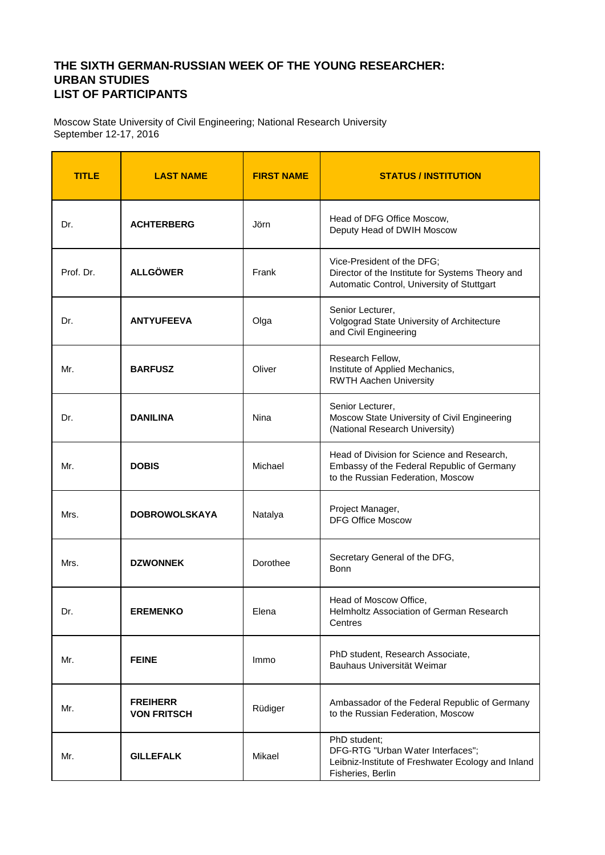## **THE SIXTH GERMAN-RUSSIAN WEEK OF THE YOUNG RESEARCHER: URBAN STUDIES LIST OF PARTICIPANTS**

Moscow State University of Civil Engineering; National Research University September 12-17, 2016

| <b>TITLE</b> | <b>LAST NAME</b>                      | <b>FIRST NAME</b> | <b>STATUS / INSTITUTION</b>                                                                                                   |
|--------------|---------------------------------------|-------------------|-------------------------------------------------------------------------------------------------------------------------------|
| Dr.          | <b>ACHTERBERG</b>                     | Jörn              | Head of DFG Office Moscow,<br>Deputy Head of DWIH Moscow                                                                      |
| Prof. Dr.    | <b>ALLGÖWER</b>                       | Frank             | Vice-President of the DFG;<br>Director of the Institute for Systems Theory and<br>Automatic Control, University of Stuttgart  |
| Dr.          | <b>ANTYUFEEVA</b>                     | Olga              | Senior Lecturer,<br>Volgograd State University of Architecture<br>and Civil Engineering                                       |
| Mr.          | <b>BARFUSZ</b>                        | Oliver            | Research Fellow,<br>Institute of Applied Mechanics,<br><b>RWTH Aachen University</b>                                          |
| Dr.          | <b>DANILINA</b>                       | Nina              | Senior Lecturer,<br>Moscow State University of Civil Engineering<br>(National Research University)                            |
| Mr.          | <b>DOBIS</b>                          | Michael           | Head of Division for Science and Research,<br>Embassy of the Federal Republic of Germany<br>to the Russian Federation, Moscow |
| Mrs.         | <b>DOBROWOLSKAYA</b>                  | Natalya           | Project Manager,<br><b>DFG Office Moscow</b>                                                                                  |
| Mrs.         | <b>DZWONNEK</b>                       | Dorothee          | Secretary General of the DFG,<br>Bonn                                                                                         |
| Dr.          | <b>EREMENKO</b>                       | Elena             | Head of Moscow Office,<br>Helmholtz Association of German Research<br>Centres                                                 |
| Mr.          | <b>FEINE</b>                          | Immo              | PhD student, Research Associate,<br>Bauhaus Universität Weimar                                                                |
| Mr.          | <b>FREIHERR</b><br><b>VON FRITSCH</b> | Rüdiger           | Ambassador of the Federal Republic of Germany<br>to the Russian Federation, Moscow                                            |
| Mr.          | <b>GILLEFALK</b>                      | Mikael            | PhD student;<br>DFG-RTG "Urban Water Interfaces";<br>Leibniz-Institute of Freshwater Ecology and Inland<br>Fisheries, Berlin  |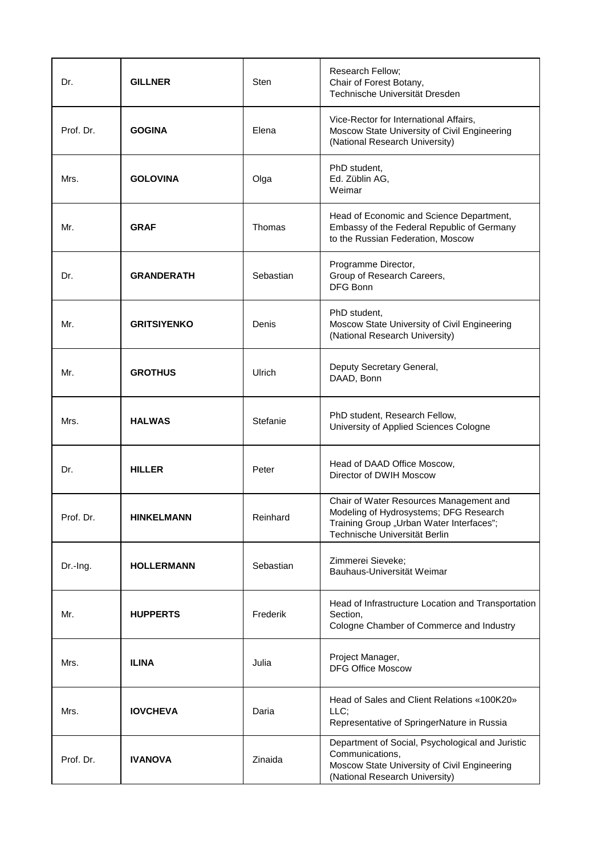| Dr.       | <b>GILLNER</b>     | Sten      | Research Fellow;<br>Chair of Forest Botany,<br>Technische Universität Dresden                                                                                  |
|-----------|--------------------|-----------|----------------------------------------------------------------------------------------------------------------------------------------------------------------|
| Prof. Dr. | <b>GOGINA</b>      | Elena     | Vice-Rector for International Affairs,<br>Moscow State University of Civil Engineering<br>(National Research University)                                       |
| Mrs.      | <b>GOLOVINA</b>    | Olga      | PhD student,<br>Ed. Züblin AG,<br>Weimar                                                                                                                       |
| Mr.       | <b>GRAF</b>        | Thomas    | Head of Economic and Science Department,<br>Embassy of the Federal Republic of Germany<br>to the Russian Federation, Moscow                                    |
| Dr.       | <b>GRANDERATH</b>  | Sebastian | Programme Director,<br>Group of Research Careers,<br>DFG Bonn                                                                                                  |
| Mr.       | <b>GRITSIYENKO</b> | Denis     | PhD student,<br>Moscow State University of Civil Engineering<br>(National Research University)                                                                 |
| Mr.       | <b>GROTHUS</b>     | Ulrich    | Deputy Secretary General,<br>DAAD, Bonn                                                                                                                        |
| Mrs.      | <b>HALWAS</b>      | Stefanie  | PhD student, Research Fellow,<br>University of Applied Sciences Cologne                                                                                        |
| Dr.       | <b>HILLER</b>      | Peter     | Head of DAAD Office Moscow,<br>Director of DWIH Moscow                                                                                                         |
| Prof. Dr. | <b>HINKELMANN</b>  | Reinhard  | Chair of Water Resources Management and<br>Modeling of Hydrosystems; DFG Research<br>Training Group "Urban Water Interfaces";<br>Technische Universität Berlin |
| Dr.-Ing.  | <b>HOLLERMANN</b>  | Sebastian | Zimmerei Sieveke;<br>Bauhaus-Universität Weimar                                                                                                                |
| Mr.       | <b>HUPPERTS</b>    | Frederik  | Head of Infrastructure Location and Transportation<br>Section,<br>Cologne Chamber of Commerce and Industry                                                     |
| Mrs.      | <b>ILINA</b>       | Julia     | Project Manager,<br><b>DFG Office Moscow</b>                                                                                                                   |
| Mrs.      | <b>IOVCHEVA</b>    | Daria     | Head of Sales and Client Relations «100K20»<br>LLC:<br>Representative of SpringerNature in Russia                                                              |
| Prof. Dr. | <b>IVANOVA</b>     | Zinaida   | Department of Social, Psychological and Juristic<br>Communications,<br>Moscow State University of Civil Engineering<br>(National Research University)          |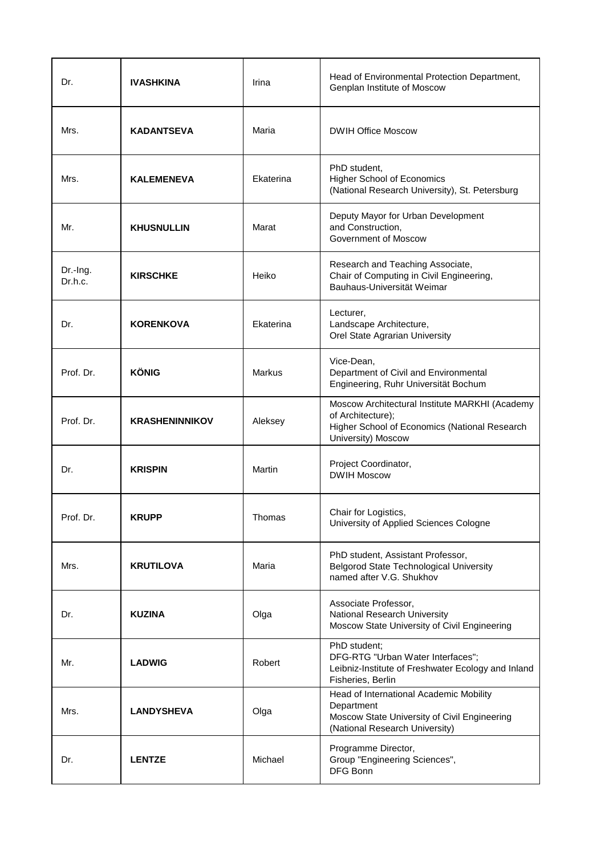| Dr.                 | <b>IVASHKINA</b>      | Irina     | Head of Environmental Protection Department,<br>Genplan Institute of Moscow                                                                |
|---------------------|-----------------------|-----------|--------------------------------------------------------------------------------------------------------------------------------------------|
| Mrs.                | <b>KADANTSEVA</b>     | Maria     | <b>DWIH Office Moscow</b>                                                                                                                  |
| Mrs.                | <b>KALEMENEVA</b>     | Ekaterina | PhD student,<br><b>Higher School of Economics</b><br>(National Research University), St. Petersburg                                        |
| Mr.                 | <b>KHUSNULLIN</b>     | Marat     | Deputy Mayor for Urban Development<br>and Construction,<br>Government of Moscow                                                            |
| Dr.-Ing.<br>Dr.h.c. | <b>KIRSCHKE</b>       | Heiko     | Research and Teaching Associate,<br>Chair of Computing in Civil Engineering,<br>Bauhaus-Universität Weimar                                 |
| Dr.                 | <b>KORENKOVA</b>      | Ekaterina | Lecturer,<br>Landscape Architecture,<br>Orel State Agrarian University                                                                     |
| Prof. Dr.           | <b>KÖNIG</b>          | Markus    | Vice-Dean,<br>Department of Civil and Environmental<br>Engineering, Ruhr Universität Bochum                                                |
| Prof. Dr.           | <b>KRASHENINNIKOV</b> | Aleksey   | Moscow Architectural Institute MARKHI (Academy<br>of Architecture);<br>Higher School of Economics (National Research<br>University) Moscow |
| Dr.                 | <b>KRISPIN</b>        | Martin    | Project Coordinator,<br><b>DWIH Moscow</b>                                                                                                 |
| Prof. Dr.           | <b>KRUPP</b>          | Thomas    | Chair for Logistics<br>University of Applied Sciences Cologne                                                                              |
| Mrs.                | <b>KRUTILOVA</b>      | Maria     | PhD student, Assistant Professor,<br><b>Belgorod State Technological University</b><br>named after V.G. Shukhov                            |
| Dr.                 | <b>KUZINA</b>         | Olga      | Associate Professor,<br>National Research University<br>Moscow State University of Civil Engineering                                       |
| Mr.                 | <b>LADWIG</b>         | Robert    | PhD student;<br>DFG-RTG "Urban Water Interfaces";<br>Leibniz-Institute of Freshwater Ecology and Inland<br>Fisheries, Berlin               |
| Mrs.                | <b>LANDYSHEVA</b>     | Olga      | Head of International Academic Mobility<br>Department<br>Moscow State University of Civil Engineering<br>(National Research University)    |
| Dr.                 | <b>LENTZE</b>         | Michael   | Programme Director,<br>Group "Engineering Sciences",<br>DFG Bonn                                                                           |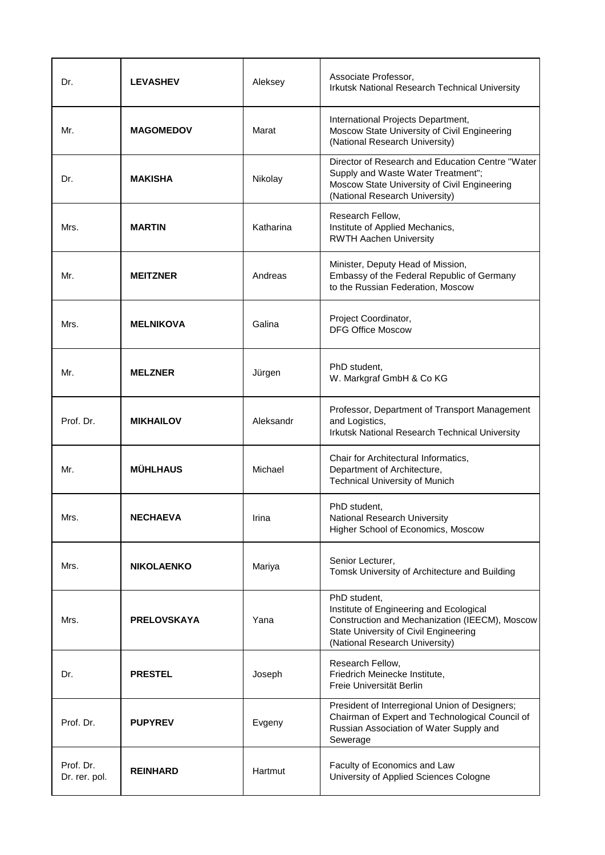| Dr.                        | <b>LEVASHEV</b>    | Aleksey   | Associate Professor,<br>Irkutsk National Research Technical University                                                                                                               |
|----------------------------|--------------------|-----------|--------------------------------------------------------------------------------------------------------------------------------------------------------------------------------------|
| Mr.                        | <b>MAGOMEDOV</b>   | Marat     | International Projects Department,<br>Moscow State University of Civil Engineering<br>(National Research University)                                                                 |
| Dr.                        | <b>MAKISHA</b>     | Nikolay   | Director of Research and Education Centre "Water<br>Supply and Waste Water Treatment";<br>Moscow State University of Civil Engineering<br>(National Research University)             |
| Mrs.                       | <b>MARTIN</b>      | Katharina | Research Fellow,<br>Institute of Applied Mechanics,<br><b>RWTH Aachen University</b>                                                                                                 |
| Mr.                        | <b>MEITZNER</b>    | Andreas   | Minister, Deputy Head of Mission,<br>Embassy of the Federal Republic of Germany<br>to the Russian Federation, Moscow                                                                 |
| Mrs.                       | <b>MELNIKOVA</b>   | Galina    | Project Coordinator,<br><b>DFG Office Moscow</b>                                                                                                                                     |
| Mr.                        | <b>MELZNER</b>     | Jürgen    | PhD student,<br>W. Markgraf GmbH & Co KG                                                                                                                                             |
| Prof. Dr.                  | <b>MIKHAILOV</b>   | Aleksandr | Professor, Department of Transport Management<br>and Logistics,<br>Irkutsk National Research Technical University                                                                    |
| Mr.                        | <b>MÜHLHAUS</b>    | Michael   | Chair for Architectural Informatics,<br>Department of Architecture,<br><b>Technical University of Munich</b>                                                                         |
| Mrs.                       | <b>NECHAEVA</b>    | Irina     | PhD student,<br>National Research University<br>Higher School of Economics, Moscow                                                                                                   |
| Mrs.                       | <b>NIKOLAENKO</b>  | Mariya    | Senior Lecturer,<br>Tomsk University of Architecture and Building                                                                                                                    |
| Mrs.                       | <b>PRELOVSKAYA</b> | Yana      | PhD student,<br>Institute of Engineering and Ecological<br>Construction and Mechanization (IEECM), Moscow<br>State University of Civil Engineering<br>(National Research University) |
| Dr.                        | <b>PRESTEL</b>     | Joseph    | Research Fellow,<br>Friedrich Meinecke Institute,<br>Freie Universität Berlin                                                                                                        |
| Prof. Dr.                  | <b>PUPYREV</b>     | Evgeny    | President of Interregional Union of Designers;<br>Chairman of Expert and Technological Council of<br>Russian Association of Water Supply and<br>Sewerage                             |
| Prof. Dr.<br>Dr. rer. pol. | <b>REINHARD</b>    | Hartmut   | Faculty of Economics and Law<br>University of Applied Sciences Cologne                                                                                                               |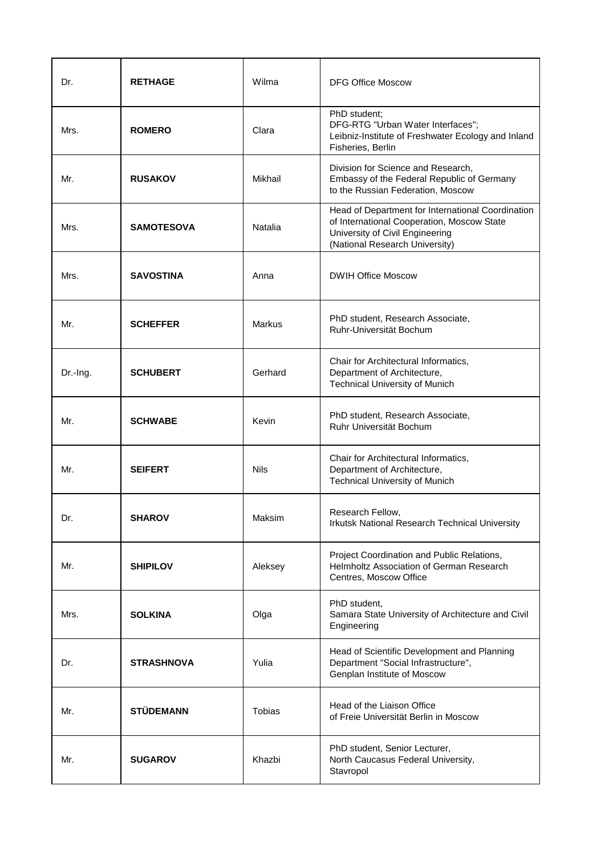| Dr.      | <b>RETHAGE</b>    | Wilma       | <b>DFG Office Moscow</b>                                                                                                                                             |
|----------|-------------------|-------------|----------------------------------------------------------------------------------------------------------------------------------------------------------------------|
| Mrs.     | <b>ROMERO</b>     | Clara       | PhD student;<br>DFG-RTG "Urban Water Interfaces";<br>Leibniz-Institute of Freshwater Ecology and Inland<br>Fisheries, Berlin                                         |
| Mr.      | <b>RUSAKOV</b>    | Mikhail     | Division for Science and Research,<br>Embassy of the Federal Republic of Germany<br>to the Russian Federation, Moscow                                                |
| Mrs.     | <b>SAMOTESOVA</b> | Natalia     | Head of Department for International Coordination<br>of International Cooperation, Moscow State<br>University of Civil Engineering<br>(National Research University) |
| Mrs.     | <b>SAVOSTINA</b>  | Anna        | <b>DWIH Office Moscow</b>                                                                                                                                            |
| Mr.      | <b>SCHEFFER</b>   | Markus      | PhD student, Research Associate,<br>Ruhr-Universität Bochum                                                                                                          |
| Dr.-Ing. | <b>SCHUBERT</b>   | Gerhard     | Chair for Architectural Informatics,<br>Department of Architecture,<br><b>Technical University of Munich</b>                                                         |
| Mr.      | <b>SCHWABE</b>    | Kevin       | PhD student, Research Associate,<br>Ruhr Universität Bochum                                                                                                          |
| Mr.      | <b>SEIFERT</b>    | <b>Nils</b> | Chair for Architectural Informatics,<br>Department of Architecture,<br><b>Technical University of Munich</b>                                                         |
| Dr.      | <b>SHAROV</b>     | Maksim      | Research Fellow.<br>Irkutsk National Research Technical University                                                                                                   |
| Mr.      | <b>SHIPILOV</b>   | Aleksey     | Project Coordination and Public Relations,<br>Helmholtz Association of German Research<br>Centres, Moscow Office                                                     |
| Mrs.     | <b>SOLKINA</b>    | Olga        | PhD student,<br>Samara State University of Architecture and Civil<br>Engineering                                                                                     |
| Dr.      | <b>STRASHNOVA</b> | Yulia       | Head of Scientific Development and Planning<br>Department "Social Infrastructure",<br>Genplan Institute of Moscow                                                    |
| Mr.      | <b>STÜDEMANN</b>  | Tobias      | Head of the Liaison Office<br>of Freie Universität Berlin in Moscow                                                                                                  |
| Mr.      | <b>SUGAROV</b>    | Khazbi      | PhD student, Senior Lecturer,<br>North Caucasus Federal University,<br>Stavropol                                                                                     |